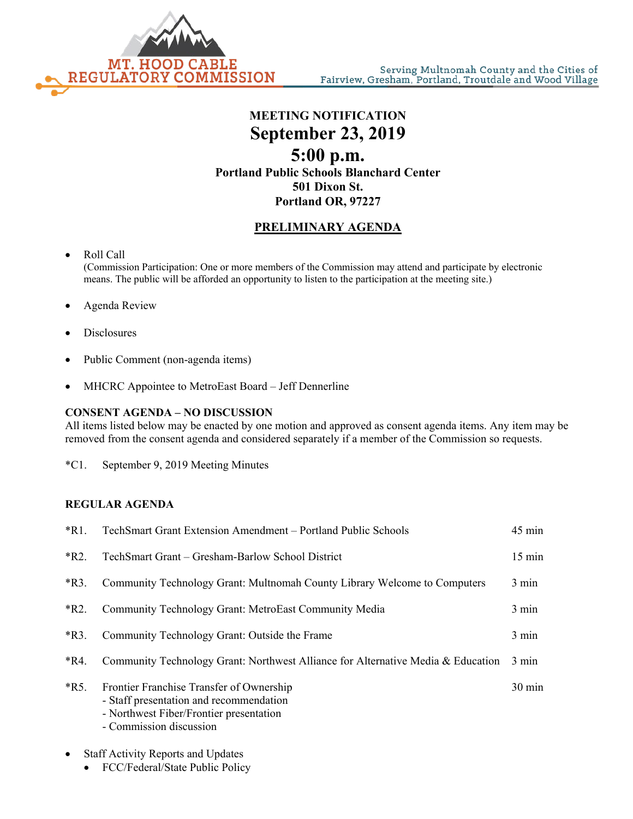

# **MEETING NOTIFICATION September 23, 2019 5:00 p.m. Portland Public Schools Blanchard Center 501 Dixon St. Portland OR, 97227**

## **PRELIMINARY AGENDA**

## • Roll Call

(Commission Participation: One or more members of the Commission may attend and participate by electronic means. The public will be afforded an opportunity to listen to the participation at the meeting site.)

- Agenda Review
- **Disclosures**
- Public Comment (non-agenda items)
- MHCRC Appointee to MetroEast Board Jeff Dennerline

### **CONSENT AGENDA – NO DISCUSSION**

All items listed below may be enacted by one motion and approved as consent agenda items. Any item may be removed from the consent agenda and considered separately if a member of the Commission so requests.

\*C1. September 9, 2019 Meeting Minutes

#### **REGULAR AGENDA**

| $*R1.$  | TechSmart Grant Extension Amendment - Portland Public Schools                                                                                             | $45 \text{ min}$ |
|---------|-----------------------------------------------------------------------------------------------------------------------------------------------------------|------------------|
| $*R2.$  | TechSmart Grant – Gresham-Barlow School District                                                                                                          | $15 \text{ min}$ |
| $*R3.$  | Community Technology Grant: Multnomah County Library Welcome to Computers                                                                                 | $3 \text{ min}$  |
| $*R2.$  | Community Technology Grant: MetroEast Community Media                                                                                                     | 3 min            |
| $*R3$ . | Community Technology Grant: Outside the Frame                                                                                                             | 3 min            |
| $*R4.$  | Community Technology Grant: Northwest Alliance for Alternative Media & Education                                                                          | $3 \text{ min}$  |
| $*R5.$  | Frontier Franchise Transfer of Ownership<br>- Staff presentation and recommendation<br>- Northwest Fiber/Frontier presentation<br>- Commission discussion | $30 \text{ min}$ |

### Staff Activity Reports and Updates

• FCC/Federal/State Public Policy